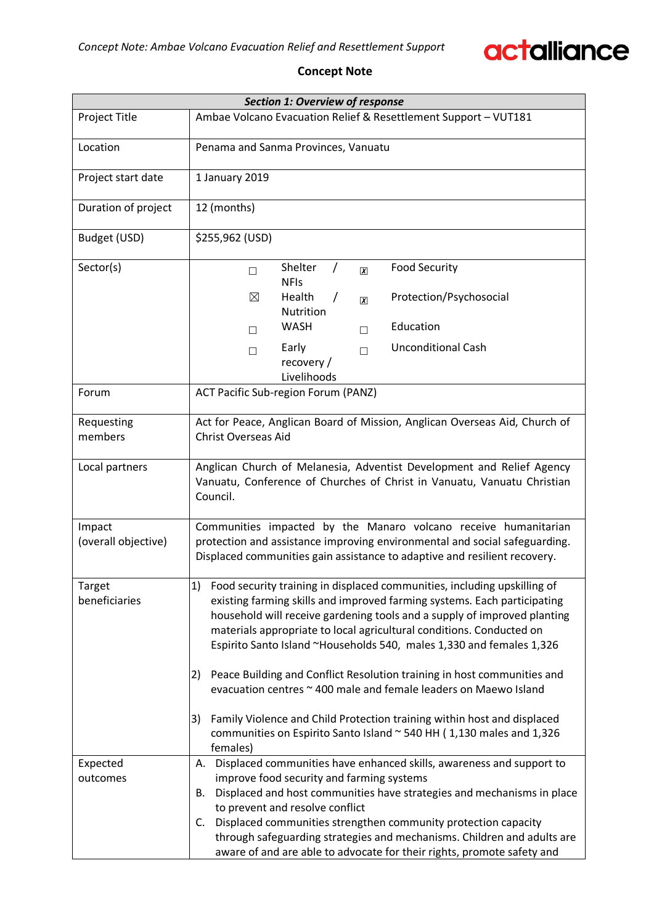

### **Concept Note**

| <b>Section 1: Overview of response</b> |                                                                                                                                                                                                                                                                                                                                                                                                                                                                                                                                          |  |  |  |  |  |  |  |  |
|----------------------------------------|------------------------------------------------------------------------------------------------------------------------------------------------------------------------------------------------------------------------------------------------------------------------------------------------------------------------------------------------------------------------------------------------------------------------------------------------------------------------------------------------------------------------------------------|--|--|--|--|--|--|--|--|
| <b>Project Title</b>                   | Ambae Volcano Evacuation Relief & Resettlement Support - VUT181                                                                                                                                                                                                                                                                                                                                                                                                                                                                          |  |  |  |  |  |  |  |  |
| Location                               | Penama and Sanma Provinces, Vanuatu                                                                                                                                                                                                                                                                                                                                                                                                                                                                                                      |  |  |  |  |  |  |  |  |
| Project start date                     | 1 January 2019                                                                                                                                                                                                                                                                                                                                                                                                                                                                                                                           |  |  |  |  |  |  |  |  |
| Duration of project                    | 12 (months)                                                                                                                                                                                                                                                                                                                                                                                                                                                                                                                              |  |  |  |  |  |  |  |  |
| Budget (USD)                           | \$255,962 (USD)                                                                                                                                                                                                                                                                                                                                                                                                                                                                                                                          |  |  |  |  |  |  |  |  |
| Sector(s)                              | Shelter<br><b>Food Security</b><br>$\prime$<br>$\boxed{\textbf{X}}$<br>$\Box$<br><b>NFIs</b>                                                                                                                                                                                                                                                                                                                                                                                                                                             |  |  |  |  |  |  |  |  |
|                                        | Protection/Psychosocial<br>⊠<br>Health<br>$\prime$<br>$\boldsymbol{\chi}$<br>Nutrition                                                                                                                                                                                                                                                                                                                                                                                                                                                   |  |  |  |  |  |  |  |  |
|                                        | Education<br><b>WASH</b><br>П<br>П                                                                                                                                                                                                                                                                                                                                                                                                                                                                                                       |  |  |  |  |  |  |  |  |
|                                        | <b>Unconditional Cash</b><br>Early<br>П<br>$\Box$<br>recovery /<br>Livelihoods                                                                                                                                                                                                                                                                                                                                                                                                                                                           |  |  |  |  |  |  |  |  |
| Forum                                  | ACT Pacific Sub-region Forum (PANZ)                                                                                                                                                                                                                                                                                                                                                                                                                                                                                                      |  |  |  |  |  |  |  |  |
| Requesting<br>members                  | Act for Peace, Anglican Board of Mission, Anglican Overseas Aid, Church of<br><b>Christ Overseas Aid</b>                                                                                                                                                                                                                                                                                                                                                                                                                                 |  |  |  |  |  |  |  |  |
| Local partners                         | Anglican Church of Melanesia, Adventist Development and Relief Agency<br>Vanuatu, Conference of Churches of Christ in Vanuatu, Vanuatu Christian<br>Council.                                                                                                                                                                                                                                                                                                                                                                             |  |  |  |  |  |  |  |  |
| Impact<br>(overall objective)          | Communities impacted by the Manaro volcano receive humanitarian<br>protection and assistance improving environmental and social safeguarding.<br>Displaced communities gain assistance to adaptive and resilient recovery.                                                                                                                                                                                                                                                                                                               |  |  |  |  |  |  |  |  |
| Target<br>beneficiaries                | 1) Food security training in displaced communities, including upskilling of<br>existing farming skills and improved farming systems. Each participating<br>household will receive gardening tools and a supply of improved planting<br>materials appropriate to local agricultural conditions. Conducted on<br>Espirito Santo Island ~Households 540, males 1,330 and females 1,326<br>Peace Building and Conflict Resolution training in host communities and<br>2)<br>evacuation centres ~ 400 male and female leaders on Maewo Island |  |  |  |  |  |  |  |  |
|                                        | Family Violence and Child Protection training within host and displaced<br>3)<br>communities on Espirito Santo Island ~ 540 HH (1,130 males and 1,326<br>females)                                                                                                                                                                                                                                                                                                                                                                        |  |  |  |  |  |  |  |  |
| Expected<br>outcomes                   | A. Displaced communities have enhanced skills, awareness and support to<br>improve food security and farming systems<br>Displaced and host communities have strategies and mechanisms in place<br>В.<br>to prevent and resolve conflict<br>Displaced communities strengthen community protection capacity<br>C.<br>through safeguarding strategies and mechanisms. Children and adults are<br>aware of and are able to advocate for their rights, promote safety and                                                                     |  |  |  |  |  |  |  |  |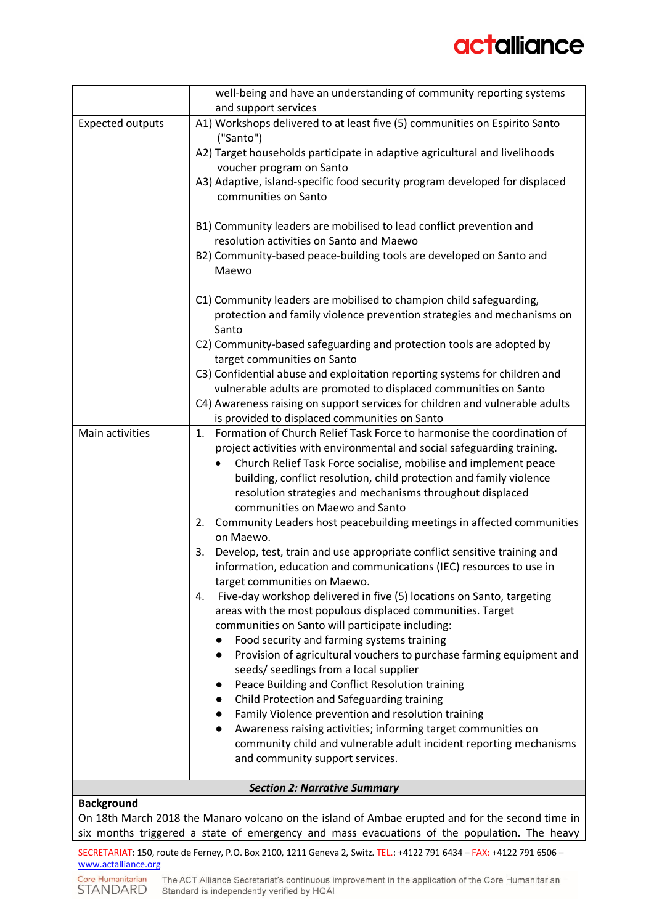## actalliance

|                         | well-being and have an understanding of community reporting systems                                                                                                                                                                                                                                                                                                                                                                                                                                                                                                                                                                                                                                                                                                                                                                                                                                                                                                                                                                                                                                                                                                                                                                                                                                                                                                                                                                          |
|-------------------------|----------------------------------------------------------------------------------------------------------------------------------------------------------------------------------------------------------------------------------------------------------------------------------------------------------------------------------------------------------------------------------------------------------------------------------------------------------------------------------------------------------------------------------------------------------------------------------------------------------------------------------------------------------------------------------------------------------------------------------------------------------------------------------------------------------------------------------------------------------------------------------------------------------------------------------------------------------------------------------------------------------------------------------------------------------------------------------------------------------------------------------------------------------------------------------------------------------------------------------------------------------------------------------------------------------------------------------------------------------------------------------------------------------------------------------------------|
| <b>Expected outputs</b> | and support services<br>A1) Workshops delivered to at least five (5) communities on Espirito Santo                                                                                                                                                                                                                                                                                                                                                                                                                                                                                                                                                                                                                                                                                                                                                                                                                                                                                                                                                                                                                                                                                                                                                                                                                                                                                                                                           |
|                         | ("Santo")                                                                                                                                                                                                                                                                                                                                                                                                                                                                                                                                                                                                                                                                                                                                                                                                                                                                                                                                                                                                                                                                                                                                                                                                                                                                                                                                                                                                                                    |
|                         | A2) Target households participate in adaptive agricultural and livelihoods<br>voucher program on Santo                                                                                                                                                                                                                                                                                                                                                                                                                                                                                                                                                                                                                                                                                                                                                                                                                                                                                                                                                                                                                                                                                                                                                                                                                                                                                                                                       |
|                         | A3) Adaptive, island-specific food security program developed for displaced                                                                                                                                                                                                                                                                                                                                                                                                                                                                                                                                                                                                                                                                                                                                                                                                                                                                                                                                                                                                                                                                                                                                                                                                                                                                                                                                                                  |
|                         | communities on Santo                                                                                                                                                                                                                                                                                                                                                                                                                                                                                                                                                                                                                                                                                                                                                                                                                                                                                                                                                                                                                                                                                                                                                                                                                                                                                                                                                                                                                         |
|                         | B1) Community leaders are mobilised to lead conflict prevention and                                                                                                                                                                                                                                                                                                                                                                                                                                                                                                                                                                                                                                                                                                                                                                                                                                                                                                                                                                                                                                                                                                                                                                                                                                                                                                                                                                          |
|                         | resolution activities on Santo and Maewo<br>B2) Community-based peace-building tools are developed on Santo and                                                                                                                                                                                                                                                                                                                                                                                                                                                                                                                                                                                                                                                                                                                                                                                                                                                                                                                                                                                                                                                                                                                                                                                                                                                                                                                              |
|                         | Maewo                                                                                                                                                                                                                                                                                                                                                                                                                                                                                                                                                                                                                                                                                                                                                                                                                                                                                                                                                                                                                                                                                                                                                                                                                                                                                                                                                                                                                                        |
|                         | C1) Community leaders are mobilised to champion child safeguarding,<br>protection and family violence prevention strategies and mechanisms on<br>Santo                                                                                                                                                                                                                                                                                                                                                                                                                                                                                                                                                                                                                                                                                                                                                                                                                                                                                                                                                                                                                                                                                                                                                                                                                                                                                       |
|                         | C2) Community-based safeguarding and protection tools are adopted by<br>target communities on Santo                                                                                                                                                                                                                                                                                                                                                                                                                                                                                                                                                                                                                                                                                                                                                                                                                                                                                                                                                                                                                                                                                                                                                                                                                                                                                                                                          |
|                         | C3) Confidential abuse and exploitation reporting systems for children and                                                                                                                                                                                                                                                                                                                                                                                                                                                                                                                                                                                                                                                                                                                                                                                                                                                                                                                                                                                                                                                                                                                                                                                                                                                                                                                                                                   |
|                         | vulnerable adults are promoted to displaced communities on Santo                                                                                                                                                                                                                                                                                                                                                                                                                                                                                                                                                                                                                                                                                                                                                                                                                                                                                                                                                                                                                                                                                                                                                                                                                                                                                                                                                                             |
|                         | C4) Awareness raising on support services for children and vulnerable adults<br>is provided to displaced communities on Santo                                                                                                                                                                                                                                                                                                                                                                                                                                                                                                                                                                                                                                                                                                                                                                                                                                                                                                                                                                                                                                                                                                                                                                                                                                                                                                                |
| Main activities         | Formation of Church Relief Task Force to harmonise the coordination of<br>1.<br>project activities with environmental and social safeguarding training.<br>Church Relief Task Force socialise, mobilise and implement peace<br>building, conflict resolution, child protection and family violence<br>resolution strategies and mechanisms throughout displaced<br>communities on Maewo and Santo<br>Community Leaders host peacebuilding meetings in affected communities<br>2.<br>on Maewo.<br>Develop, test, train and use appropriate conflict sensitive training and<br>3.<br>information, education and communications (IEC) resources to use in<br>target communities on Maewo.<br>Five-day workshop delivered in five (5) locations on Santo, targeting<br>4.<br>areas with the most populous displaced communities. Target<br>communities on Santo will participate including:<br>Food security and farming systems training<br>Provision of agricultural vouchers to purchase farming equipment and<br>$\bullet$<br>seeds/ seedlings from a local supplier<br>Peace Building and Conflict Resolution training<br>$\bullet$<br>Child Protection and Safeguarding training<br>$\bullet$<br>Family Violence prevention and resolution training<br>$\bullet$<br>Awareness raising activities; informing target communities on<br>community child and vulnerable adult incident reporting mechanisms<br>and community support services. |
| <b>Background</b>       | <b>Section 2: Narrative Summary</b>                                                                                                                                                                                                                                                                                                                                                                                                                                                                                                                                                                                                                                                                                                                                                                                                                                                                                                                                                                                                                                                                                                                                                                                                                                                                                                                                                                                                          |

#### **Background**

On 18th March 2018 the Manaro volcano on the island of Ambae erupted and for the second time in six months triggered a state of emergency and mass evacuations of the population. The heavy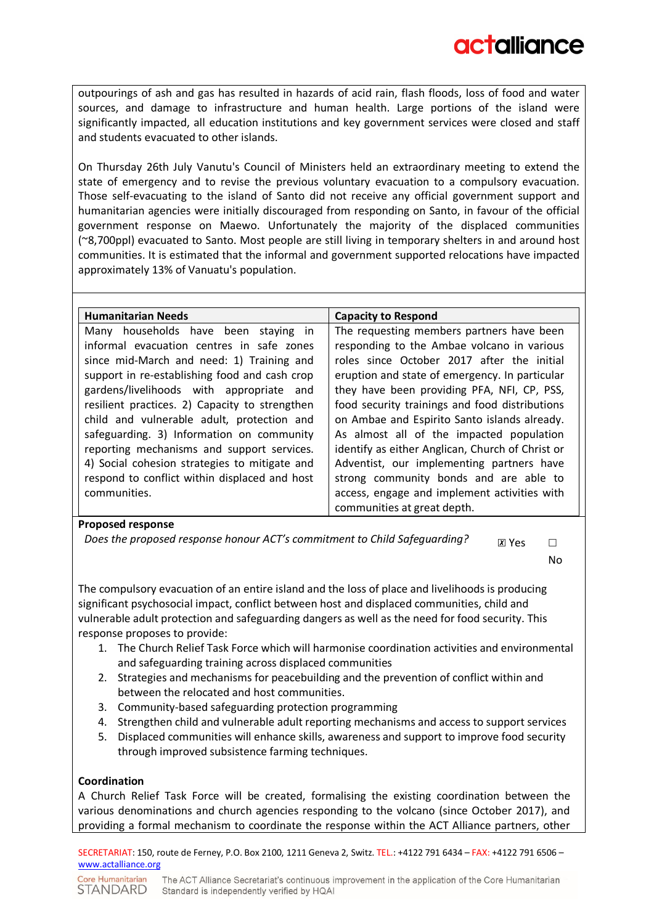outpourings of ash and gas has resulted in hazards of acid rain, flash floods, loss of food and water sources, and damage to infrastructure and human health. Large portions of the island were significantly impacted, all education institutions and key government services were closed and staff and students evacuated to other islands.

On Thursday 26th July Vanutu's Council of Ministers held an extraordinary meeting to extend the state of emergency and to revise the previous voluntary evacuation to a compulsory evacuation. Those self-evacuating to the island of Santo did not receive any official government support and humanitarian agencies were initially discouraged from responding on Santo, in favour of the official government response on Maewo. Unfortunately the majority of the displaced communities (~8,700ppl) evacuated to Santo. Most people are still living in temporary shelters in and around host communities. It is estimated that the informal and government supported relocations have impacted approximately 13% of Vanuatu's population.

| <b>Humanitarian Needs</b>                      | <b>Capacity to Respond</b>                       |
|------------------------------------------------|--------------------------------------------------|
| Many households have been staying in           | The requesting members partners have been        |
| informal evacuation centres in safe zones      | responding to the Ambae volcano in various       |
| since mid-March and need: 1) Training and      | roles since October 2017 after the initial       |
| support in re-establishing food and cash crop  | eruption and state of emergency. In particular   |
| gardens/livelihoods with appropriate and       | they have been providing PFA, NFI, CP, PSS,      |
| resilient practices. 2) Capacity to strengthen | food security trainings and food distributions   |
| child and vulnerable adult, protection and     | on Ambae and Espirito Santo islands already.     |
| safeguarding. 3) Information on community      | As almost all of the impacted population         |
| reporting mechanisms and support services.     | identify as either Anglican, Church of Christ or |
| 4) Social cohesion strategies to mitigate and  | Adventist, our implementing partners have        |
| respond to conflict within displaced and host  | strong community bonds and are able to           |
| communities.                                   | access, engage and implement activities with     |
|                                                | communities at great depth.                      |

#### **Proposed response**

*Does the proposed response honour ACT's commitment to Child Safeguarding?*  $\Box$   $\Box$  Yes  $\Box$ 

No

The compulsory evacuation of an entire island and the loss of place and livelihoods is producing significant psychosocial impact, conflict between host and displaced communities, child and vulnerable adult protection and safeguarding dangers as well as the need for food security. This response proposes to provide:

- 1. The Church Relief Task Force which will harmonise coordination activities and environmental and safeguarding training across displaced communities
- 2. Strategies and mechanisms for peacebuilding and the prevention of conflict within and between the relocated and host communities.
- 3. Community-based safeguarding protection programming
- 4. Strengthen child and vulnerable adult reporting mechanisms and access to support services
- 5. Displaced communities will enhance skills, awareness and support to improve food security through improved subsistence farming techniques.

#### **Coordination**

A Church Relief Task Force will be created, formalising the existing coordination between the various denominations and church agencies responding to the volcano (since October 2017), and providing a formal mechanism to coordinate the response within the ACT Alliance partners, other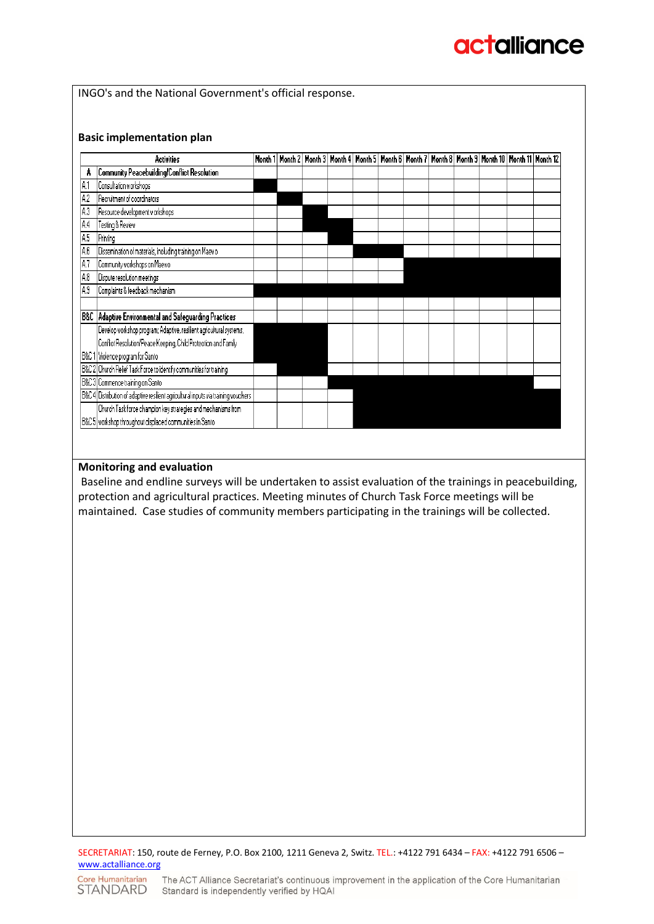# **actalliance**

INGO's and the National Government's official response.

#### **Basic implementation plan**

|     | <b>Activities</b>                                                                  | Month 1 |  |  |  |  | Month 2   Month 3   Month 4   Month 5   Month 6   Month 7   Month 8   Month 9   Month 10   Month 11   Month 12 |  |
|-----|------------------------------------------------------------------------------------|---------|--|--|--|--|----------------------------------------------------------------------------------------------------------------|--|
| A   | Community Peacebuilding/Conflict Resolution                                        |         |  |  |  |  |                                                                                                                |  |
| A.1 | Consultation workshops                                                             |         |  |  |  |  |                                                                                                                |  |
| A.2 | Recruitment of coordinators                                                        |         |  |  |  |  |                                                                                                                |  |
| A3  | Resource development workshops                                                     |         |  |  |  |  |                                                                                                                |  |
| A.4 | Testing & Review                                                                   |         |  |  |  |  |                                                                                                                |  |
| A.5 | Printing                                                                           |         |  |  |  |  |                                                                                                                |  |
| A.6 | Dissemination of materials, including training on Maewo                            |         |  |  |  |  |                                                                                                                |  |
| A.7 | Community workshops on Maewo                                                       |         |  |  |  |  |                                                                                                                |  |
| A.8 | Dispute resolution meetings                                                        |         |  |  |  |  |                                                                                                                |  |
| A.9 | Complaints & feedback mechanism                                                    |         |  |  |  |  |                                                                                                                |  |
|     |                                                                                    |         |  |  |  |  |                                                                                                                |  |
|     | B&C   Adaptive Environmental and Safeguarding Practices                            |         |  |  |  |  |                                                                                                                |  |
|     | Develop workshop program; Adaptive, resilient agricultural systems,                |         |  |  |  |  |                                                                                                                |  |
|     | Conflict Resolution/Peace Keeping, Child Protection and Family                     |         |  |  |  |  |                                                                                                                |  |
|     | B&C 1 Violence program for Santo                                                   |         |  |  |  |  |                                                                                                                |  |
|     | B&C 2 Church Relief Task Force to identify communities for training                |         |  |  |  |  |                                                                                                                |  |
|     | B&C 3 Commence training on Santo                                                   |         |  |  |  |  |                                                                                                                |  |
|     | B&C 4 Distribution of adaptive resilient agricultural inputs via training vouchers |         |  |  |  |  |                                                                                                                |  |
|     | Church Task force champion key strategies and mechanisms from                      |         |  |  |  |  |                                                                                                                |  |
|     | B&C 5   workshop throughout displaced communities in Santo                         |         |  |  |  |  |                                                                                                                |  |

#### **Monitoring and evaluation**

Baseline and endline surveys will be undertaken to assist evaluation of the trainings in peacebuilding, protection and agricultural practices. Meeting minutes of Church Task Force meetings will be maintained. Case studies of community members participating in the trainings will be collected.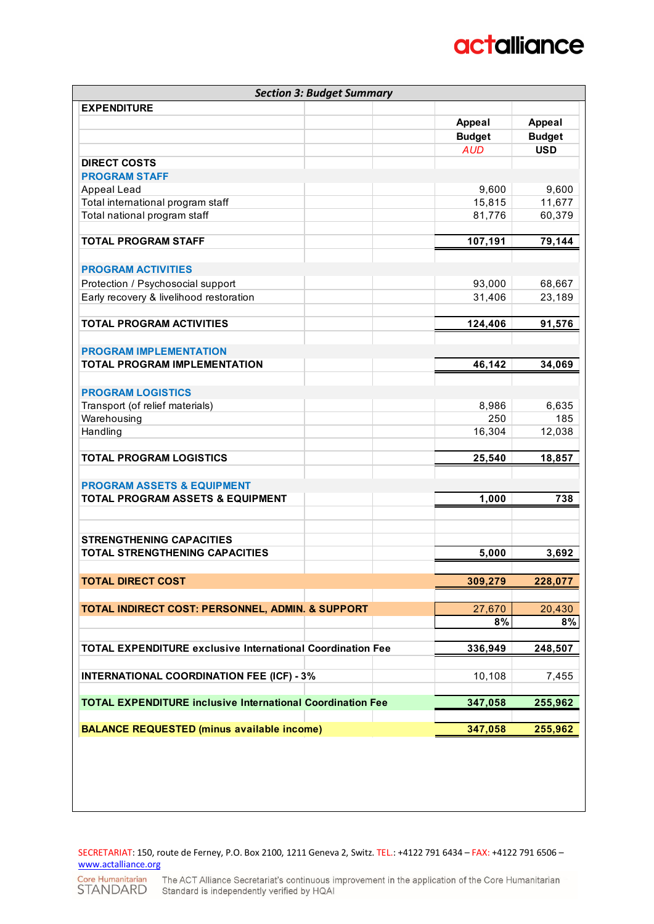## **actalliance**

| <b>Section 3: Budget Summary</b>                                         |               |               |
|--------------------------------------------------------------------------|---------------|---------------|
| <b>EXPENDITURE</b>                                                       |               |               |
|                                                                          | <b>Appeal</b> | Appeal        |
|                                                                          | <b>Budget</b> | <b>Budget</b> |
|                                                                          | <b>AUD</b>    | <b>USD</b>    |
| <b>DIRECT COSTS</b>                                                      |               |               |
| <b>PROGRAM STAFF</b>                                                     |               |               |
| Appeal Lead                                                              | 9,600         | 9,600         |
| Total international program staff                                        | 15,815        | 11,677        |
| Total national program staff                                             | 81,776        | 60,379        |
| <b>TOTAL PROGRAM STAFF</b>                                               | 107,191       | 79,144        |
|                                                                          |               |               |
| <b>PROGRAM ACTIVITIES</b>                                                |               |               |
| Protection / Psychosocial support                                        | 93,000        | 68,667        |
| Early recovery & livelihood restoration                                  | 31,406        | 23,189        |
|                                                                          |               |               |
| <b>TOTAL PROGRAM ACTIVITIES</b>                                          | 124,406       | 91,576        |
|                                                                          |               |               |
| <b>PROGRAM IMPLEMENTATION</b>                                            |               |               |
| <b>TOTAL PROGRAM IMPLEMENTATION</b>                                      | 46,142        | 34,069        |
|                                                                          |               |               |
| <b>PROGRAM LOGISTICS</b>                                                 |               |               |
| Transport (of relief materials)                                          | 8,986         | 6,635         |
| Warehousing                                                              | 250           | 185           |
| Handling                                                                 | 16,304        | 12,038        |
| <b>TOTAL PROGRAM LOGISTICS</b>                                           | 25,540        | 18,857        |
|                                                                          |               |               |
| <b>PROGRAM ASSETS &amp; EQUIPMENT</b>                                    |               |               |
| <b>TOTAL PROGRAM ASSETS &amp; EQUIPMENT</b>                              | 1,000         | 738           |
|                                                                          |               |               |
|                                                                          |               |               |
| <b>STRENGTHENING CAPACITIES</b><br><b>TOTAL STRENGTHENING CAPACITIES</b> | 5,000         |               |
|                                                                          |               | 3,692         |
| <b>TOTAL DIRECT COST</b>                                                 | 309,279       | 228,077       |
|                                                                          |               |               |
| TOTAL INDIRECT COST: PERSONNEL, ADMIN. & SUPPORT                         | 27,670        | 20,430        |
|                                                                          | 8%            | 8%            |
|                                                                          |               |               |
| <b>TOTAL EXPENDITURE exclusive International Coordination Fee</b>        | 336,949       | 248,507       |
| <b>INTERNATIONAL COORDINATION FEE (ICF) - 3%</b>                         | 10,108        | 7,455         |
|                                                                          |               |               |
| <b>TOTAL EXPENDITURE inclusive International Coordination Fee</b>        | 347,058       | 255,962       |
| <b>BALANCE REQUESTED (minus available income)</b>                        | 347,058       | 255,962       |
|                                                                          |               |               |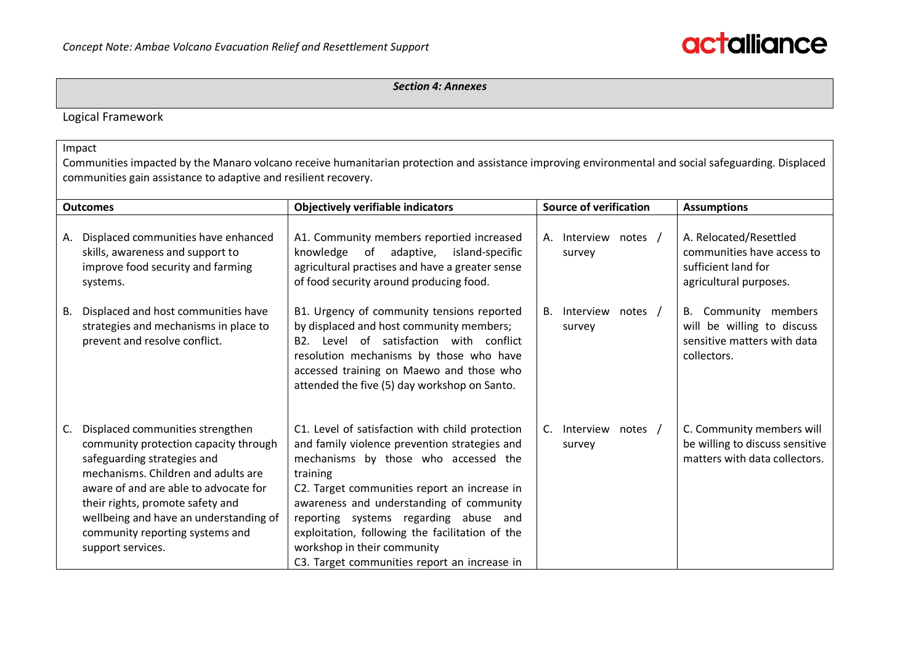*Section 4: Annexes*

Logical Framework

Impact

Communities impacted by the Manaro volcano receive humanitarian protection and assistance improving environmental and social safeguarding. Displaced communities gain assistance to adaptive and resilient recovery.

|    | <b>Outcomes</b>                                                                                                                                                                                                                                                                                                                | <b>Objectively verifiable indicators</b>                                                                                                                                                                                                                                                                                                                                                                                    |                | <b>Source of verification</b>    | <b>Assumptions</b>                                                                                    |  |  |
|----|--------------------------------------------------------------------------------------------------------------------------------------------------------------------------------------------------------------------------------------------------------------------------------------------------------------------------------|-----------------------------------------------------------------------------------------------------------------------------------------------------------------------------------------------------------------------------------------------------------------------------------------------------------------------------------------------------------------------------------------------------------------------------|----------------|----------------------------------|-------------------------------------------------------------------------------------------------------|--|--|
| А. | Displaced communities have enhanced<br>skills, awareness and support to<br>improve food security and farming<br>systems.                                                                                                                                                                                                       | A1. Community members reportied increased<br>adaptive, island-specific<br>knowledge of<br>agricultural practises and have a greater sense<br>of food security around producing food.                                                                                                                                                                                                                                        | Α.             | Interview notes /<br>survey      | A. Relocated/Resettled<br>communities have access to<br>sufficient land for<br>agricultural purposes. |  |  |
| В. | Displaced and host communities have<br>strategies and mechanisms in place to<br>prevent and resolve conflict.                                                                                                                                                                                                                  | B1. Urgency of community tensions reported<br>by displaced and host community members;<br>Level of satisfaction with conflict<br>B <sub>2</sub> .<br>resolution mechanisms by those who have<br>accessed training on Maewo and those who<br>attended the five (5) day workshop on Santo.                                                                                                                                    | <b>B.</b>      | Interview<br>notes /<br>survey   | B. Community members<br>will be willing to discuss<br>sensitive matters with data<br>collectors.      |  |  |
| C. | Displaced communities strengthen<br>community protection capacity through<br>safeguarding strategies and<br>mechanisms. Children and adults are<br>aware of and are able to advocate for<br>their rights, promote safety and<br>wellbeing and have an understanding of<br>community reporting systems and<br>support services. | C1. Level of satisfaction with child protection<br>and family violence prevention strategies and<br>mechanisms by those who accessed the<br>training<br>C2. Target communities report an increase in<br>awareness and understanding of community<br>reporting systems regarding abuse and<br>exploitation, following the facilitation of the<br>workshop in their community<br>C3. Target communities report an increase in | $\mathsf{C}$ . | Interview<br>notes $/$<br>survey | C. Community members will<br>be willing to discuss sensitive<br>matters with data collectors.         |  |  |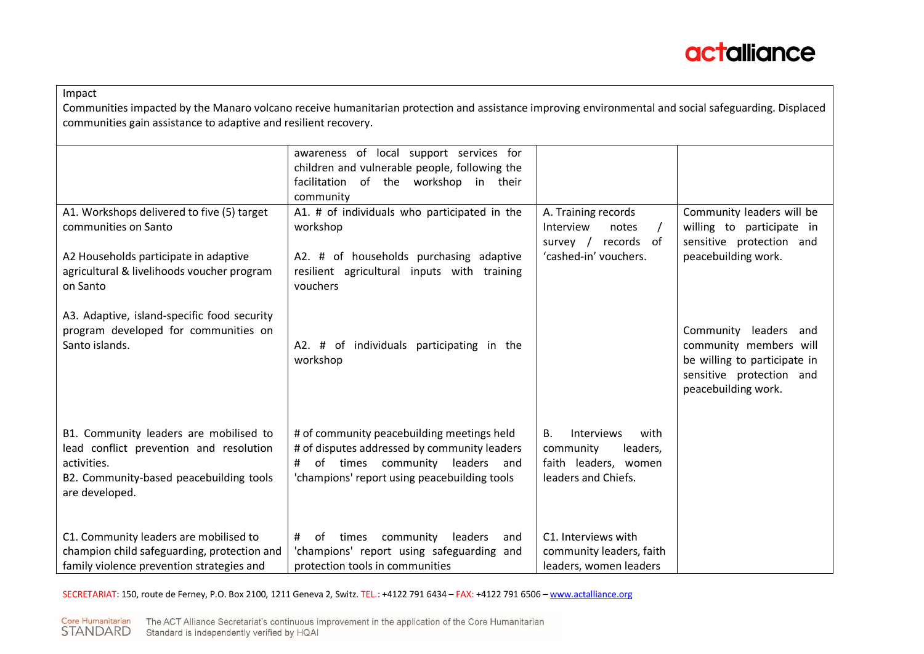

#### Impact

Communities impacted by the Manaro volcano receive humanitarian protection and assistance improving environmental and social safeguarding. Displaced communities gain assistance to adaptive and resilient recovery.

|                                                                                                                                                               | awareness of local support services for<br>children and vulnerable people, following the<br>facilitation of the workshop in their<br>community                                 |                                                                                                                |                                                                                                                                    |
|---------------------------------------------------------------------------------------------------------------------------------------------------------------|--------------------------------------------------------------------------------------------------------------------------------------------------------------------------------|----------------------------------------------------------------------------------------------------------------|------------------------------------------------------------------------------------------------------------------------------------|
| A1. Workshops delivered to five (5) target<br>communities on Santo                                                                                            | A1. # of individuals who participated in the<br>workshop                                                                                                                       | A. Training records<br>Interview<br>notes<br>$\prime$<br>records of<br>survey /                                | Community leaders will be<br>willing to participate in<br>sensitive protection and                                                 |
| A2 Households participate in adaptive<br>agricultural & livelihoods voucher program<br>on Santo                                                               | A2. # of households purchasing adaptive<br>resilient agricultural inputs with training<br>vouchers                                                                             | 'cashed-in' vouchers.                                                                                          | peacebuilding work.                                                                                                                |
| A3. Adaptive, island-specific food security<br>program developed for communities on<br>Santo islands.                                                         | A2. # of individuals participating in the<br>workshop                                                                                                                          |                                                                                                                | Community leaders and<br>community members will<br>be willing to participate in<br>sensitive protection and<br>peacebuilding work. |
| B1. Community leaders are mobilised to<br>lead conflict prevention and resolution<br>activities.<br>B2. Community-based peacebuilding tools<br>are developed. | # of community peacebuilding meetings held<br># of disputes addressed by community leaders<br># of times community leaders and<br>'champions' report using peacebuilding tools | <b>B.</b><br><b>Interviews</b><br>with<br>community<br>leaders,<br>faith leaders, women<br>leaders and Chiefs. |                                                                                                                                    |
| C1. Community leaders are mobilised to<br>champion child safeguarding, protection and                                                                         | community<br>#<br>of<br>times<br>leaders<br>and<br>'champions' report using safeguarding and                                                                                   | C1. Interviews with<br>community leaders, faith                                                                |                                                                                                                                    |
| family violence prevention strategies and                                                                                                                     | protection tools in communities                                                                                                                                                | leaders, women leaders                                                                                         |                                                                                                                                    |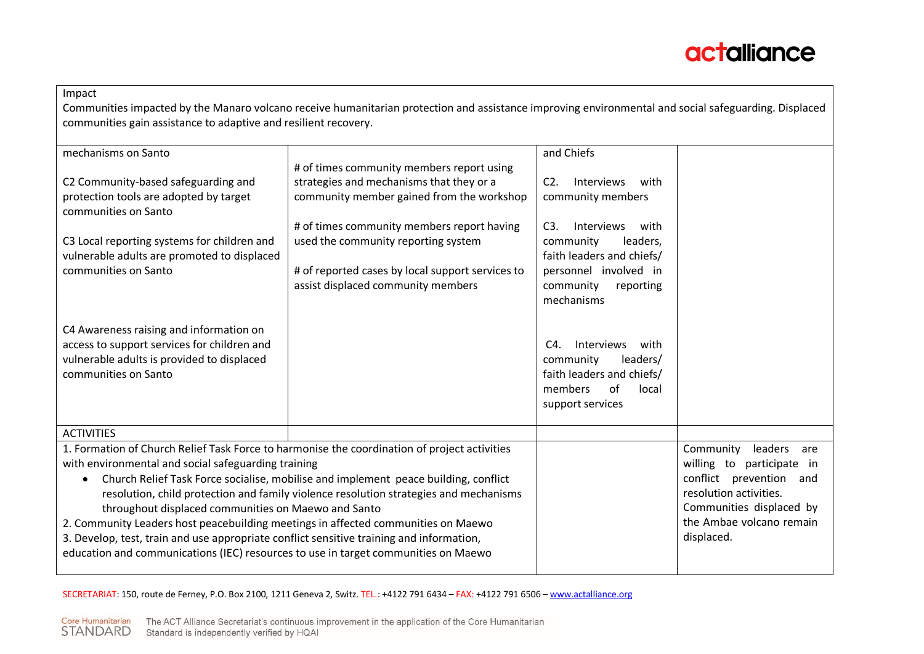

| Impact                                                                                       |                                                                                                                                                      |                                      |                            |
|----------------------------------------------------------------------------------------------|------------------------------------------------------------------------------------------------------------------------------------------------------|--------------------------------------|----------------------------|
|                                                                                              | Communities impacted by the Manaro volcano receive humanitarian protection and assistance improving environmental and social safeguarding. Displaced |                                      |                            |
| communities gain assistance to adaptive and resilient recovery.                              |                                                                                                                                                      |                                      |                            |
| mechanisms on Santo                                                                          |                                                                                                                                                      | and Chiefs                           |                            |
|                                                                                              | # of times community members report using                                                                                                            |                                      |                            |
| C2 Community-based safeguarding and                                                          | strategies and mechanisms that they or a                                                                                                             | $C2$ .<br><b>Interviews</b><br>with  |                            |
| protection tools are adopted by target<br>communities on Santo                               | community member gained from the workshop                                                                                                            | community members                    |                            |
|                                                                                              | # of times community members report having                                                                                                           | C3.<br>Interviews<br>with            |                            |
| C3 Local reporting systems for children and                                                  | used the community reporting system                                                                                                                  | community<br>leaders,                |                            |
| vulnerable adults are promoted to displaced                                                  |                                                                                                                                                      | faith leaders and chiefs/            |                            |
| communities on Santo                                                                         | # of reported cases by local support services to                                                                                                     | personnel involved in                |                            |
|                                                                                              | assist displaced community members                                                                                                                   | community<br>reporting<br>mechanisms |                            |
|                                                                                              |                                                                                                                                                      |                                      |                            |
| C4 Awareness raising and information on                                                      |                                                                                                                                                      |                                      |                            |
| access to support services for children and                                                  |                                                                                                                                                      | Interviews<br>C4.<br>with            |                            |
| vulnerable adults is provided to displaced                                                   |                                                                                                                                                      | community<br>leaders/                |                            |
| communities on Santo                                                                         |                                                                                                                                                      | faith leaders and chiefs/            |                            |
|                                                                                              |                                                                                                                                                      | of<br>members<br>local               |                            |
|                                                                                              |                                                                                                                                                      | support services                     |                            |
| <b>ACTIVITIES</b>                                                                            |                                                                                                                                                      |                                      |                            |
| 1. Formation of Church Relief Task Force to harmonise the coordination of project activities |                                                                                                                                                      |                                      | Community<br>leaders are   |
| with environmental and social safeguarding training                                          |                                                                                                                                                      |                                      | willing to participate in  |
|                                                                                              | Church Relief Task Force socialise, mobilise and implement peace building, conflict                                                                  |                                      | conflict prevention<br>and |
| resolution, child protection and family violence resolution strategies and mechanisms        |                                                                                                                                                      | resolution activities.               |                            |
| throughout displaced communities on Maewo and Santo                                          |                                                                                                                                                      |                                      | Communities displaced by   |
| 2. Community Leaders host peacebuilding meetings in affected communities on Maewo            |                                                                                                                                                      |                                      | the Ambae volcano remain   |
| 3. Develop, test, train and use appropriate conflict sensitive training and information,     |                                                                                                                                                      |                                      | displaced.                 |
| education and communications (IEC) resources to use in target communities on Maewo           |                                                                                                                                                      |                                      |                            |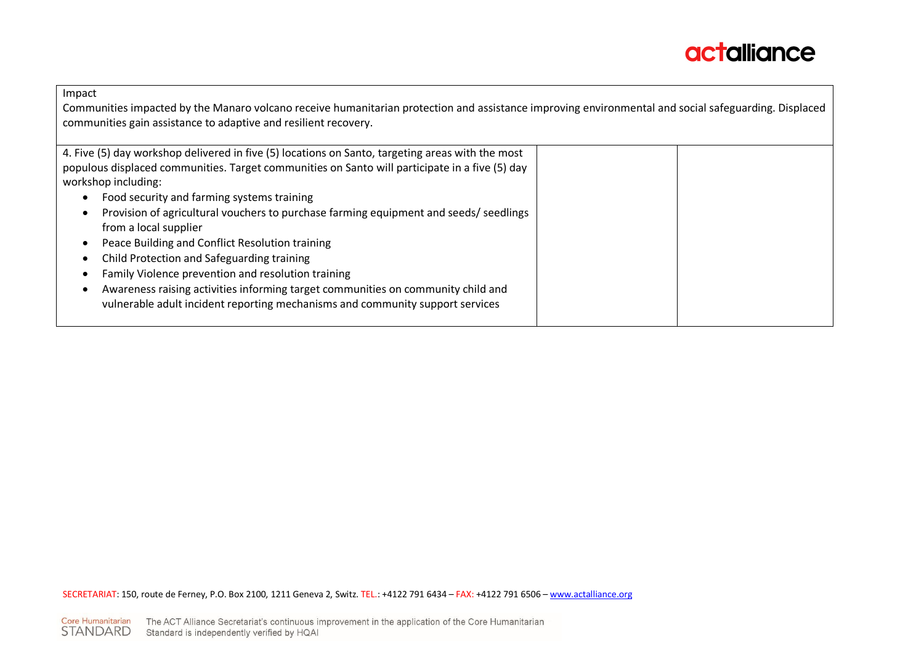

Impact

Communities impacted by the Manaro volcano receive humanitarian protection and assistance improving environmental and social safeguarding. Displaced communities gain assistance to adaptive and resilient recovery.

| 4. Five (5) day workshop delivered in five (5) locations on Santo, targeting areas with the most |  |
|--------------------------------------------------------------------------------------------------|--|
| populous displaced communities. Target communities on Santo will participate in a five (5) day   |  |
|                                                                                                  |  |
| workshop including:                                                                              |  |
| Food security and farming systems training<br>$\bullet$                                          |  |
| Provision of agricultural vouchers to purchase farming equipment and seeds/ seedlings            |  |
| from a local supplier                                                                            |  |
|                                                                                                  |  |
| Peace Building and Conflict Resolution training                                                  |  |
| Child Protection and Safeguarding training<br>٠                                                  |  |
| Family Violence prevention and resolution training                                               |  |
| Awareness raising activities informing target communities on community child and                 |  |
| vulnerable adult incident reporting mechanisms and community support services                    |  |
|                                                                                                  |  |
|                                                                                                  |  |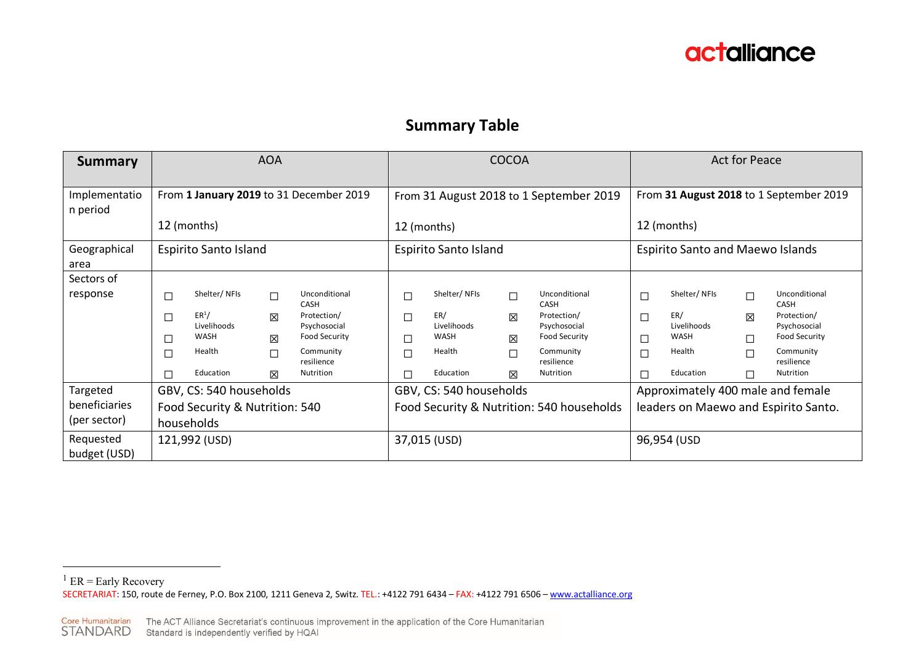

### **Summary Table**

| <b>Summary</b>                            | <b>AOA</b>                                                              |                                                                                 |                                                     |                                                                                                                      | <b>COCOA</b>                                   |                                                                          |                                                                           |                                                                                                                      | Act for Peace                             |                                                                          |                                      |                                                                                                                      |  |
|-------------------------------------------|-------------------------------------------------------------------------|---------------------------------------------------------------------------------|-----------------------------------------------------|----------------------------------------------------------------------------------------------------------------------|------------------------------------------------|--------------------------------------------------------------------------|---------------------------------------------------------------------------|----------------------------------------------------------------------------------------------------------------------|-------------------------------------------|--------------------------------------------------------------------------|--------------------------------------|----------------------------------------------------------------------------------------------------------------------|--|
| Implementatio<br>n period                 | From 1 January 2019 to 31 December 2019<br>12 (months)                  |                                                                                 |                                                     |                                                                                                                      |                                                | From 31 August 2018 to 1 September 2019<br>12 (months)                   |                                                                           |                                                                                                                      |                                           | From 31 August 2018 to 1 September 2019<br>12 (months)                   |                                      |                                                                                                                      |  |
| Geographical<br>area                      | <b>Espirito Santo Island</b>                                            |                                                                                 |                                                     | <b>Espirito Santo Island</b>                                                                                         |                                                |                                                                          | <b>Espirito Santo and Maewo Islands</b>                                   |                                                                                                                      |                                           |                                                                          |                                      |                                                                                                                      |  |
| Sectors of<br>response                    | $\Box$<br>□<br>□<br>□<br>П                                              | Shelter/NFIs<br>ER <sup>1</sup> /<br>Livelihoods<br>WASH<br>Health<br>Education | $\Box$<br>$\boxtimes$<br>$\boxtimes$<br>$\Box$<br>X | Unconditional<br>CASH<br>Protection/<br>Psychosocial<br><b>Food Security</b><br>Community<br>resilience<br>Nutrition | $\Box$<br>$\Box$<br>$\Box$<br>$\Box$<br>$\Box$ | Shelter/NFIs<br>ER/<br>Livelihoods<br><b>WASH</b><br>Health<br>Education | $\Box$<br>×<br>区<br>$\Box$<br>区                                           | Unconditional<br>CASH<br>Protection/<br>Psychosocial<br><b>Food Security</b><br>Community<br>resilience<br>Nutrition | $\Box$<br>$\Box$<br>$\Box$<br>$\Box$<br>П | Shelter/NFIs<br>ER/<br>Livelihoods<br><b>WASH</b><br>Health<br>Education | $\Box$<br>区<br>П<br>$\Box$<br>$\Box$ | Unconditional<br>CASH<br>Protection/<br>Psychosocial<br><b>Food Security</b><br>Community<br>resilience<br>Nutrition |  |
| Targeted<br>beneficiaries<br>(per sector) | GBV, CS: 540 households<br>Food Security & Nutrition: 540<br>households |                                                                                 |                                                     | GBV, CS: 540 households<br>Food Security & Nutrition: 540 households                                                 |                                                |                                                                          | Approximately 400 male and female<br>leaders on Maewo and Espirito Santo. |                                                                                                                      |                                           |                                                                          |                                      |                                                                                                                      |  |
| Requested<br>budget (USD)                 |                                                                         | 121,992 (USD)                                                                   |                                                     |                                                                                                                      | 37,015 (USD)                                   |                                                                          |                                                                           | 96,954 (USD                                                                                                          |                                           |                                                                          |                                      |                                                                                                                      |  |

Core Humanitarian The ACT Alliance Secretariat's continuous improvement in the application of the Core Humanitarian<br>STANDARD Standard is independently verified by HQAI

SECRETARIAT: 150, route de Ferney, P.O. Box 2100, 1211 Geneva 2, Switz. TEL.: +4122 791 6434 – FAX: +4122 791 6506 – www.actalliance.org <sup>1</sup> ER = Early Recovery